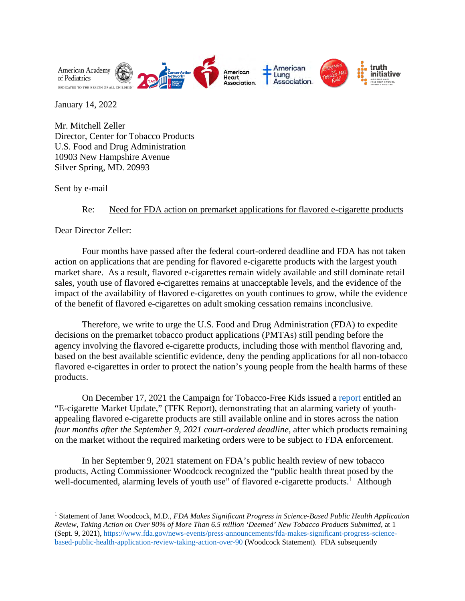

January 14, 2022

Mr. Mitchell Zeller Director, Center for Tobacco Products U.S. Food and Drug Administration 10903 New Hampshire Avenue Silver Spring, MD. 20993

Sent by e-mail

## Re: Need for FDA action on premarket applications for flavored e-cigarette products

Dear Director Zeller:

Four months have passed after the federal court-ordered deadline and FDA has not taken action on applications that are pending for flavored e-cigarette products with the largest youth market share. As a result, flavored e-cigarettes remain widely available and still dominate retail sales, youth use of flavored e-cigarettes remains at unacceptable levels, and the evidence of the impact of the availability of flavored e-cigarettes on youth continues to grow, while the evidence of the benefit of flavored e-cigarettes on adult smoking cessation remains inconclusive.

Therefore, we write to urge the U.S. Food and Drug Administration (FDA) to expedite decisions on the premarket tobacco product applications (PMTAs) still pending before the agency involving the flavored e-cigarette products, including those with menthol flavoring and, based on the best available scientific evidence, deny the pending applications for all non-tobacco flavored e-cigarettes in order to protect the nation's young people from the health harms of these products.

On December 17, 2021 the Campaign for Tobacco-Free Kids issued a [report](https://www.tobaccofreekids.org/assets/content/press_office/2021/ecigreport.pdf) entitled an "E-cigarette Market Update," (TFK Report), demonstrating that an alarming variety of youthappealing flavored e-cigarette products are still available online and in stores across the nation *four months after the September 9, 2021 court-ordered deadline*, after which products remaining on the market without the required marketing orders were to be subject to FDA enforcement.

In her September 9, 2021 statement on FDA's public health review of new tobacco products, Acting Commissioner Woodcock recognized the "public health threat posed by the well-documented, alarming levels of youth use" of flavored e-cigarette products.<sup>[1](#page-0-0)</sup> Although

<span id="page-0-0"></span><sup>1</sup> Statement of Janet Woodcock, M.D., *FDA Makes Significant Progress in Science-Based Public Health Application Review, Taking Action on Over 90% of More Than 6.5 million 'Deemed' New Tobacco Products Submitted*, at 1 (Sept. 9, 2021)[, https://www.fda.gov/news-events/press-announcements/fda-makes-significant-progress-science](https://www.fda.gov/news-events/press-announcements/fda-makes-significant-progress-science-based-public-health-application-review-taking-action-over-90)[based-public-health-application-review-taking-action-over-90](https://www.fda.gov/news-events/press-announcements/fda-makes-significant-progress-science-based-public-health-application-review-taking-action-over-90) (Woodcock Statement). FDA subsequently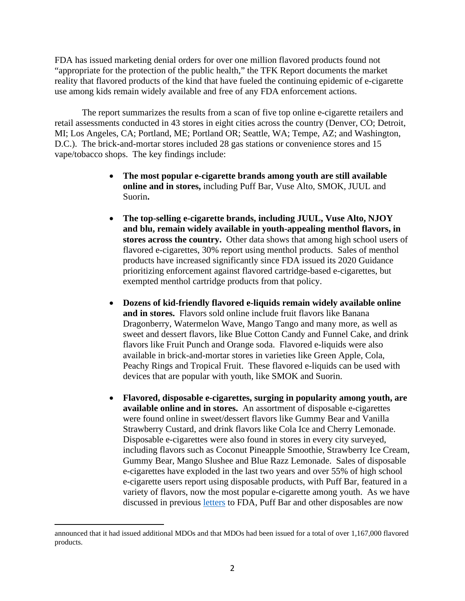FDA has issued marketing denial orders for over one million flavored products found not "appropriate for the protection of the public health," the TFK Report documents the market reality that flavored products of the kind that have fueled the continuing epidemic of e-cigarette use among kids remain widely available and free of any FDA enforcement actions.

The report summarizes the results from a scan of five top online e-cigarette retailers and retail assessments conducted in 43 stores in eight cities across the country (Denver, CO; Detroit, MI; Los Angeles, CA; Portland, ME; Portland OR; Seattle, WA; Tempe, AZ; and Washington, D.C.). The brick-and-mortar stores included 28 gas stations or convenience stores and 15 vape/tobacco shops. The key findings include:

- **The most popular e-cigarette brands among youth are still available online and in stores,** including Puff Bar, Vuse Alto, SMOK, JUUL and Suorin**.**
- **The top-selling e-cigarette brands, including JUUL, Vuse Alto, NJOY and blu, remain widely available in youth-appealing menthol flavors, in stores across the country.** Other data shows that among high school users of flavored e-cigarettes, 30% report using menthol products. Sales of menthol products have increased significantly since FDA issued its 2020 Guidance prioritizing enforcement against flavored cartridge-based e-cigarettes, but exempted menthol cartridge products from that policy.
- **Dozens of kid-friendly flavored e-liquids remain widely available online and in stores.** Flavors sold online include fruit flavors like Banana Dragonberry, Watermelon Wave, Mango Tango and many more, as well as sweet and dessert flavors, like Blue Cotton Candy and Funnel Cake, and drink flavors like Fruit Punch and Orange soda. Flavored e-liquids were also available in brick-and-mortar stores in varieties like Green Apple, Cola, Peachy Rings and Tropical Fruit. These flavored e-liquids can be used with devices that are popular with youth, like SMOK and Suorin.
- **Flavored, disposable e-cigarettes, surging in popularity among youth, are available online and in stores.** An assortment of disposable e-cigarettes were found online in sweet/dessert flavors like Gummy Bear and Vanilla Strawberry Custard, and drink flavors like Cola Ice and Cherry Lemonade. Disposable e-cigarettes were also found in stores in every city surveyed, including flavors such as Coconut Pineapple Smoothie, Strawberry Ice Cream, Gummy Bear, Mango Slushee and Blue Razz Lemonade. Sales of disposable e-cigarettes have exploded in the last two years and over 55% of high school e-cigarette users report using disposable products, with Puff Bar, featured in a variety of flavors, now the most popular e-cigarette among youth. As we have discussed in previous [letters](https://www.tobaccofreekids.org/assets/content/what_we_do/federal_issues/fda/regulatory/2021_09_02_Letter-to-FDA-Synthetic-Nicotine.pdf) to FDA, Puff Bar and other disposables are now

announced that it had issued additional MDOs and that MDOs had been issued for a total of over 1,167,000 flavored products.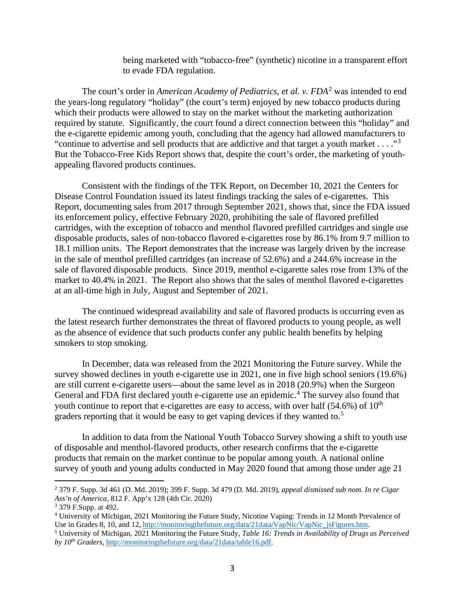being marketed with "tobacco-free" (synthetic) nicotine in a transparent effort to evade FDA regulation.

The court's order in *American Academy of Pediatrics, et al. v. FDA*<sup>[2](#page-2-0)</sup> was intended to end the years-long regulatory "holiday" (the court's term) enjoyed by new tobacco products during which their products were allowed to stay on the market without the marketing authorization required by statute. Significantly, the court found a direct connection between this "holiday" and the e-cigarette epidemic among youth, concluding that the agency had allowed manufacturers to "continue to advertise and sell products that are addictive and that target a youth market  $\dots$ ."<sup>[3](#page-2-1)</sup> But the Tobacco-Free Kids Report shows that, despite the court's order, the marketing of youthappealing flavored products continues.

Consistent with the findings of the TFK Report, on December 10, 2021 the Centers for Disease Control Foundation issued its latest findings tracking the sales of e-cigarettes. This Report, documenting sales from 2017 through September 2021, shows that, since the FDA issued its enforcement policy, effective February 2020, prohibiting the sale of flavored prefilled cartridges, with the exception of tobacco and menthol flavored prefilled cartridges and single use disposable products, sales of non-tobacco flavored e-cigarettes rose by 86.1% from 9.7 million to 18.1 million units. The Report demonstrates that the increase was largely driven by the increase in the sale of menthol prefilled cartridges (an increase of 52.6%) and a 244.6% increase in the sale of flavored disposable products. Since 2019, menthol e-cigarette sales rose from 13% of the market to 40.4% in 2021. The Report also shows that the sales of menthol flavored e-cigarettes at an all-time high in July, August and September of 2021.

The continued widespread availability and sale of flavored products is occurring even as the latest research further demonstrates the threat of flavored products to young people, as well as the absence of evidence that such products confer any public health benefits by helping smokers to stop smoking.

In December, data was released from the 2021 Monitoring the Future survey. While the survey showed declines in youth e-cigarette use in 2021, one in five high school seniors (19.6%) are still current e-cigarette users—about the same level as in 2018 (20.9%) when the Surgeon General and FDA first declared youth e-cigarette use an epidemic.<sup>[4](#page-2-2)</sup> The survey also found that youth continue to report that e-cigarettes are easy to access, with over half  $(54.6\%)$  of  $10<sup>th</sup>$ graders reporting that it would be easy to get vaping devices if they wanted to.<sup>[5](#page-2-3)</sup>

In addition to data from the National Youth Tobacco Survey showing a shift to youth use of disposable and menthol-flavored products, other research confirms that the e-cigarette products that remain on the market continue to be popular among youth. A national online survey of youth and young adults conducted in May 2020 found that among those under age 21

<span id="page-2-0"></span><sup>2</sup> 379 F. Supp. 3d 461 (D. Md. 2019); 399 F. Supp. 3d 479 (D. Md. 2019), *appeal dismissed sub nom. In re Cigar Ass'n of America,* 812 F. App'x 128 (4th Cir. 2020)

<span id="page-2-1"></span><sup>3</sup> 379 F.Supp. at 492.

<span id="page-2-2"></span><sup>&</sup>lt;sup>4</sup> University of Michigan, 2021 Monitoring the Future Study, Nicotine Vaping: Trends in 12 Month Prevalence of Use in Grades 8, 10, and 12, http://monitoringthefuture.org/data/21data/VapNic/VapNic jsFigures.htm.

<span id="page-2-3"></span><sup>&</sup>lt;sup>5</sup> University of Michigan, 2021 Monitoring the Future Study, Table 16: Trends in Availability of Drugs as Perceived *by 10th Graders,* [http://monitoringthefuture.org/data/21data/table16.pdf.](http://monitoringthefuture.org/data/21data/table16.pdf)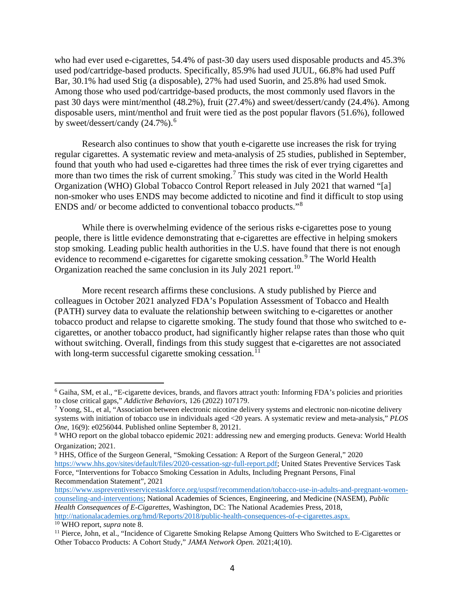who had ever used e-cigarettes, 54.4% of past-30 day users used disposable products and 45.3% used pod/cartridge-based products. Specifically, 85.9% had used JUUL, 66.8% had used Puff Bar, 30.1% had used Stig (a disposable), 27% had used Suorin, and 25.8% had used Smok. Among those who used pod/cartridge-based products, the most commonly used flavors in the past 30 days were mint/menthol (48.2%), fruit (27.4%) and sweet/dessert/candy (24.4%). Among disposable users, mint/menthol and fruit were tied as the post popular flavors (51.6%), followed by sweet/dessert/candy  $(24.7\%)$ .<sup>[6](#page-3-0)</sup>

Research also continues to show that youth e-cigarette use increases the risk for trying regular cigarettes. A systematic review and meta-analysis of 25 studies, published in September, found that youth who had used e-cigarettes had three times the risk of ever trying cigarettes and more than two times the risk of current smoking.<sup>[7](#page-3-1)</sup> This study was cited in the World Health Organization (WHO) Global Tobacco Control Report released in July 2021 that warned "[a] non-smoker who uses ENDS may become addicted to nicotine and find it difficult to stop using ENDS and/ or become addicted to conventional tobacco products."[8](#page-3-2)

While there is overwhelming evidence of the serious risks e-cigarettes pose to young people, there is little evidence demonstrating that e-cigarettes are effective in helping smokers stop smoking. Leading public health authorities in the U.S. have found that there is not enough evidence to recommend e-cigarettes for cigarette smoking cessation.<sup>[9](#page-3-3)</sup> The World Health Organization reached the same conclusion in its July 2021 report.<sup>[10](#page-3-4)</sup>

More recent research affirms these conclusions. A study published by Pierce and colleagues in October 2021 analyzed FDA's Population Assessment of Tobacco and Health (PATH) survey data to evaluate the relationship between switching to e-cigarettes or another tobacco product and relapse to cigarette smoking. The study found that those who switched to ecigarettes, or another tobacco product, had significantly higher relapse rates than those who quit without switching. Overall, findings from this study suggest that e-cigarettes are not associated with long-term successful cigarette smoking cessation.<sup>[11](#page-3-5)</sup>

<span id="page-3-0"></span><sup>6</sup> Gaiha, SM, et al., "E-cigarette devices, brands, and flavors attract youth: Informing FDA's policies and priorities to close critical gaps," *Addictive Behaviors*, 126 (2022) 107179.

<span id="page-3-1"></span><sup>&</sup>lt;sup>7</sup> Yoong, SL, et al, "Association between electronic nicotine delivery systems and electronic non-nicotine delivery systems with initiation of tobacco use in individuals aged <20 years. A systematic review and meta-analysis," *PLOS One,* 16(9): e0256044. Published online September 8, 20121.

<span id="page-3-2"></span><sup>8</sup> WHO report on the global tobacco epidemic 2021: addressing new and emerging products. Geneva: World Health Organization; 2021..

<span id="page-3-3"></span><sup>&</sup>lt;sup>9</sup> HHS, Office of the Surgeon General, "Smoking Cessation: A Report of the Surgeon General," 2020 [https://www.hhs.gov/sites/default/files/2020-cessation-sgr-full-report.pdf;](https://www.hhs.gov/sites/default/files/2020-cessation-sgr-full-report.pdf) United States Preventive Services Task Force, "Interventions for Tobacco Smoking Cessation in Adults, Including Pregnant Persons, Final Recommendation Statement", 2021

[https://www.uspreventiveservicestaskforce.org/uspstf/recommendation/tobacco-use-in-adults-and-pregnant-women](https://www.uspreventiveservicestaskforce.org/uspstf/recommendation/tobacco-use-in-adults-and-pregnant-women-counseling-and-interventions)[counseling-and-interventions;](https://www.uspreventiveservicestaskforce.org/uspstf/recommendation/tobacco-use-in-adults-and-pregnant-women-counseling-and-interventions) National Academies of Sciences, Engineering, and Medicine (NASEM), *Public Health Consequences of E-Cigarettes*, Washington, DC: The National Academies Press, 2018, [http://nationalacademies.org/hmd/Reports/2018/public-health-consequences-of-e-cigarettes.aspx.](http://nationalacademies.org/hmd/Reports/2018/public-health-consequences-of-e-cigarettes.aspx) 10 WHO report, *supra* note 8.

<span id="page-3-5"></span><span id="page-3-4"></span><sup>&</sup>lt;sup>11</sup> Pierce, John, et al., "Incidence of Cigarette Smoking Relapse Among Quitters Who Switched to E-Cigarettes or Other Tobacco Products: A Cohort Study," *JAMA Network Open.* 2021;4(10).